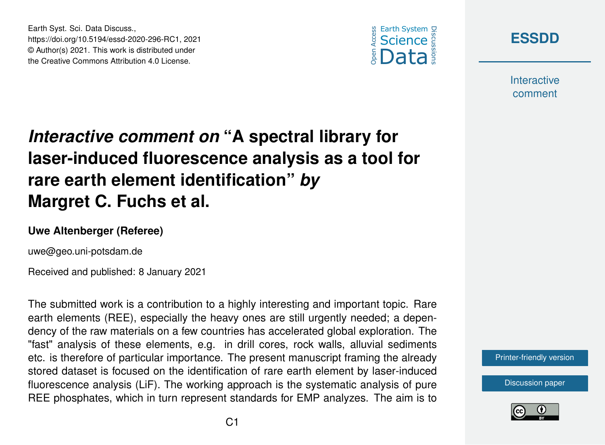

**[ESSDD](https://essd.copernicus.org/preprints/)**

**Interactive** comment

## *Interactive comment on* **"A spectral library for laser-induced fluorescence analysis as a tool for rare earth element identification"** *by* **Margret C. Fuchs et al.**

## **Uwe Altenberger (Referee)**

uwe@geo.uni-potsdam.de

Earth Syst. Sci. Data Discuss.,

https://doi.org/10.5194/essd-2020-296-RC1, 2021 © Author(s) 2021. This work is distributed under the Creative Commons Attribution 4.0 License.

Received and published: 8 January 2021

The submitted work is a contribution to a highly interesting and important topic. Rare earth elements (REE), especially the heavy ones are still urgently needed; a dependency of the raw materials on a few countries has accelerated global exploration. The "fast" analysis of these elements, e.g. in drill cores, rock walls, alluvial sediments etc. is therefore of particular importance. The present manuscript framing the already stored dataset is focused on the identification of rare earth element by laser-induced fluorescence analysis (LiF). The working approach is the systematic analysis of pure REE phosphates, which in turn represent standards for EMP analyzes. The aim is to



[Discussion paper](https://essd.copernicus.org/preprints/essd-2020-296)

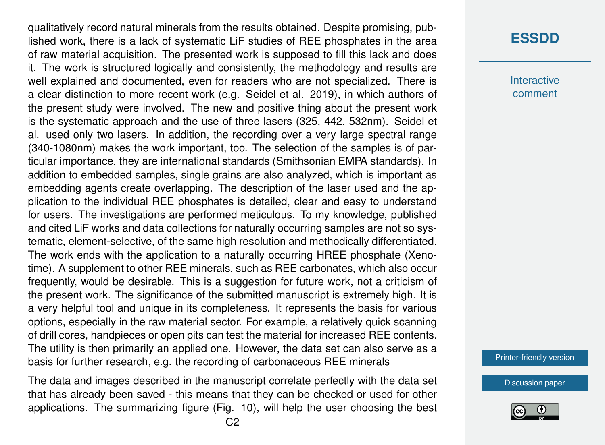qualitatively record natural minerals from the results obtained. Despite promising, published work, there is a lack of systematic LiF studies of REE phosphates in the area of raw material acquisition. The presented work is supposed to fill this lack and does it. The work is structured logically and consistently, the methodology and results are well explained and documented, even for readers who are not specialized. There is a clear distinction to more recent work (e.g. Seidel et al. 2019), in which authors of the present study were involved. The new and positive thing about the present work is the systematic approach and the use of three lasers (325, 442, 532nm). Seidel et al. used only two lasers. In addition, the recording over a very large spectral range (340-1080nm) makes the work important, too. The selection of the samples is of particular importance, they are international standards (Smithsonian EMPA standards). In addition to embedded samples, single grains are also analyzed, which is important as embedding agents create overlapping. The description of the laser used and the application to the individual REE phosphates is detailed, clear and easy to understand for users. The investigations are performed meticulous. To my knowledge, published and cited LiF works and data collections for naturally occurring samples are not so systematic, element-selective, of the same high resolution and methodically differentiated. The work ends with the application to a naturally occurring HREE phosphate (Xenotime). A supplement to other REE minerals, such as REE carbonates, which also occur frequently, would be desirable. This is a suggestion for future work, not a criticism of the present work. The significance of the submitted manuscript is extremely high. It is a very helpful tool and unique in its completeness. It represents the basis for various options, especially in the raw material sector. For example, a relatively quick scanning of drill cores, handpieces or open pits can test the material for increased REE contents. The utility is then primarily an applied one. However, the data set can also serve as a basis for further research, e.g. the recording of carbonaceous REE minerals

The data and images described in the manuscript correlate perfectly with the data set that has already been saved - this means that they can be checked or used for other applications. The summarizing figure (Fig. 10), will help the user choosing the best

## **[ESSDD](https://essd.copernicus.org/preprints/)**

**Interactive** comment

[Printer-friendly version](https://essd.copernicus.org/preprints/essd-2020-296/essd-2020-296-RC1-print.pdf)

[Discussion paper](https://essd.copernicus.org/preprints/essd-2020-296)